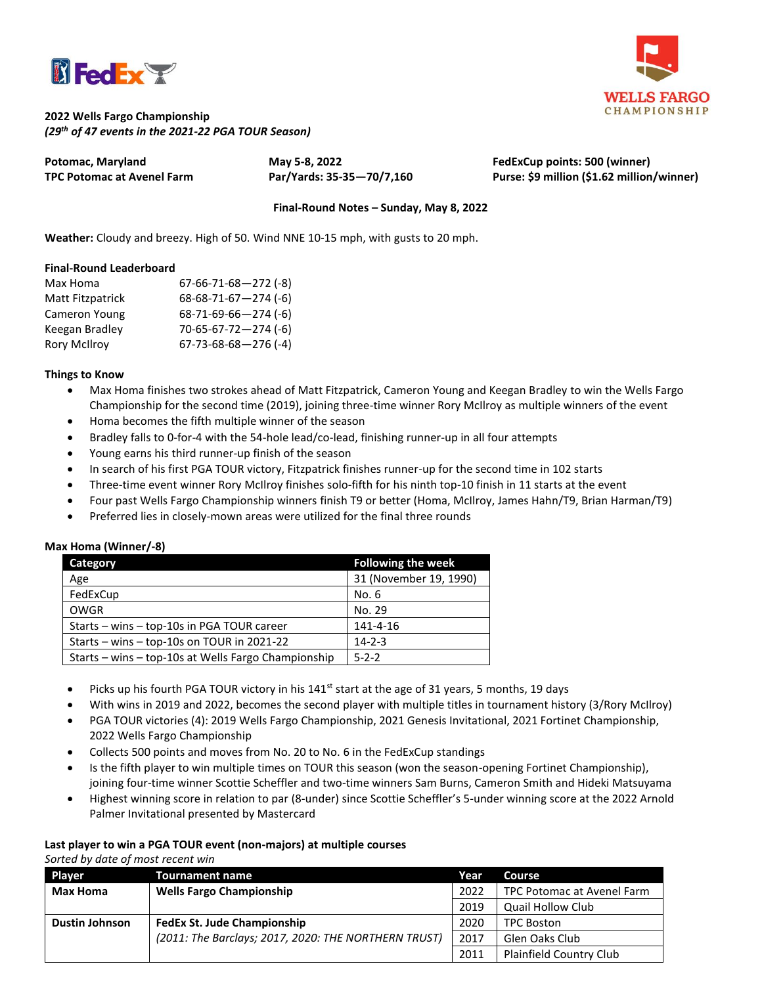



## **2022 Wells Fargo Championship** *(29 th of 47 events in the 2021-22 PGA TOUR Season)*

| Potomac, Maryland          | May 5-8, 2022             | FedExCup points: 500 (winner)              |
|----------------------------|---------------------------|--------------------------------------------|
| TPC Potomac at Avenel Farm | Par/Yards: 35-35-70/7,160 | Purse: \$9 million (\$1.62 million/winner) |

### **Final-Round Notes – Sunday, May 8, 2022**

**Weather:** Cloudy and breezy. High of 50. Wind NNE 10-15 mph, with gusts to 20 mph.

#### **Final-Round Leaderboard**

| Max Homa            | $67-66-71-68-272$ (-8)         |
|---------------------|--------------------------------|
| Matt Fitzpatrick    | $68-68-71-67-274$ (-6)         |
| Cameron Young       | $68-71-69-66-274$ (-6)         |
| Keegan Bradley      | $70 - 65 - 67 - 72 - 274$ (-6) |
| <b>Rory McIlroy</b> | $67 - 73 - 68 - 68 - 276$ (-4) |

#### **Things to Know**

- Max Homa finishes two strokes ahead of Matt Fitzpatrick, Cameron Young and Keegan Bradley to win the Wells Fargo Championship for the second time (2019), joining three-time winner Rory McIlroy as multiple winners of the event
- Homa becomes the fifth multiple winner of the season
- Bradley falls to 0-for-4 with the 54-hole lead/co-lead, finishing runner-up in all four attempts
- Young earns his third runner-up finish of the season
- In search of his first PGA TOUR victory, Fitzpatrick finishes runner-up for the second time in 102 starts
- Three-time event winner Rory McIlroy finishes solo-fifth for his ninth top-10 finish in 11 starts at the event
- Four past Wells Fargo Championship winners finish T9 or better (Homa, McIlroy, James Hahn/T9, Brian Harman/T9)
- Preferred lies in closely-mown areas were utilized for the final three rounds

#### **Max Homa (Winner/-8)**

| <b>Category</b>                                     | <b>Following the week</b> |  |
|-----------------------------------------------------|---------------------------|--|
| Age                                                 | 31 (November 19, 1990)    |  |
| FedExCup                                            | No. 6                     |  |
| OWGR                                                | No. 29                    |  |
| Starts - wins - top-10s in PGA TOUR career          | 141-4-16                  |  |
| Starts - wins - top-10s on TOUR in 2021-22          | $14 - 2 - 3$              |  |
| Starts – wins – top-10s at Wells Fargo Championship | $5 - 2 - 2$               |  |

- Picks up his fourth PGA TOUR victory in his  $141<sup>st</sup>$  start at the age of 31 years, 5 months, 19 days
- With wins in 2019 and 2022, becomes the second player with multiple titles in tournament history (3/Rory McIlroy)
- PGA TOUR victories (4): 2019 Wells Fargo Championship, 2021 Genesis Invitational, 2021 Fortinet Championship, 2022 Wells Fargo Championship
- Collects 500 points and moves from No. 20 to No. 6 in the FedExCup standings
- Is the fifth player to win multiple times on TOUR this season (won the season-opening Fortinet Championship), joining four-time winner Scottie Scheffler and two-time winners Sam Burns, Cameron Smith and Hideki Matsuyama
- Highest winning score in relation to par (8-under) since Scottie Scheffler's 5-under winning score at the 2022 Arnold Palmer Invitational presented by Mastercard

## **Last player to win a PGA TOUR event (non-majors) at multiple courses**

*Sorted by date of most recent win*

| Player                | <b>Tournament name</b>                               | Year | Course                         |
|-----------------------|------------------------------------------------------|------|--------------------------------|
| <b>Max Homa</b>       | <b>Wells Fargo Championship</b>                      | 2022 | TPC Potomac at Avenel Farm     |
|                       |                                                      | 2019 | Quail Hollow Club              |
| <b>Dustin Johnson</b> | <b>FedEx St. Jude Championship</b>                   | 2020 | <b>TPC Boston</b>              |
|                       | (2011: The Barclays; 2017, 2020: THE NORTHERN TRUST) | 2017 | Glen Oaks Club                 |
|                       |                                                      | 2011 | <b>Plainfield Country Club</b> |